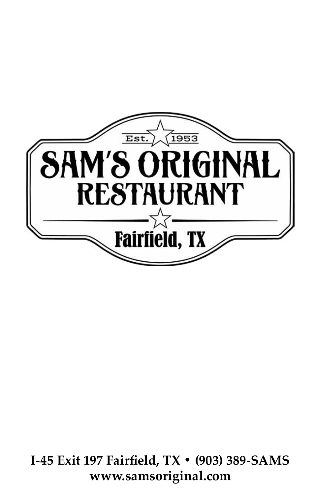

**I-45 Exit 197 Fairfield, TX • (903) 389-SAMS www.samsoriginal.com**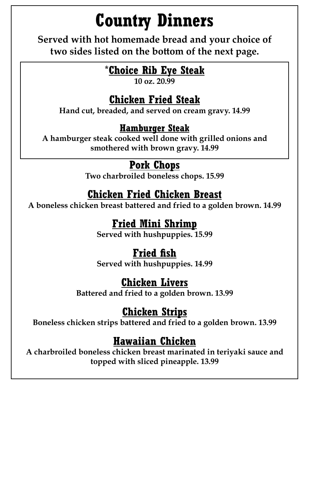## **Country Dinners**

**Served with hot homemade bread and your choice of two sides listed on the bottom of the next page.**

#### **\*Choice Rib Eye Steak**

**10 oz. 20.99**

#### **Chicken Fried Steak**

**Hand cut, breaded, and served on cream gravy. 14.99**

#### **Hamburger Steak**

**A hamburger steak cooked well done with grilled onions and smothered with brown gravy. 14.99**

#### **Pork Chops**

**Two charbroiled boneless chops. 15.99**

#### **Chicken Fried Chicken Breast**

**A boneless chicken breast battered and fried to a golden brown. 14.99**

#### **Fried Mini Shrimp**

**Served with hushpuppies. 15.99**

#### **Fried fish**

**Served with hushpuppies. 14.99**

#### **Chicken Livers**

**Battered and fried to a golden brown. 13.99**

#### **Chicken Strips**

**Boneless chicken strips battered and fried to a golden brown. 13.99**

#### **Hawaiian Chicken**

**A charbroiled boneless chicken breast marinated in teriyaki sauce and topped with sliced pineapple. 13.99**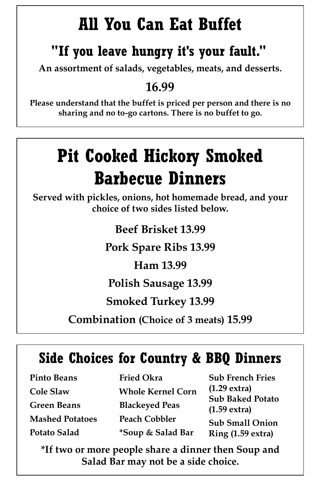## **All You Can Eat Buffet**

### **If you leave hungry it's your fault." "**

**An assortment of salads, vegetables, meats, and desserts.**

#### **16.99**

**Please understand that the buffet is priced per person and there is no sharing and no to-go cartons. There is no buffet to go.**

# **Pit Cooked Hickory Smoked Barbecue Dinners**

**Served with pickles, onions, hot homemade bread, and your choice of two sides listed below.**

**Beef Brisket 13.99**

**Pork Spare Ribs 13.99**

**Ham 13.99**

**Polish Sausage 13.99**

**Smoked Turkey 13.99**

**Combination (Choice of 3 meats) 15.99**

### **Side Choices for Country & BBQ Dinners**

**Pinto Beans Cole Slaw Green Beans Mashed Potatoes Potato Salad**

**Fried Okra Whole Kernel Corn Blackeyed Peas Peach Cobbler \*Soup & Salad Bar**

**Sub French Fries (1.29 extra) Sub Baked Potato (1.59 extra) Sub Small Onion Ring (1.59 extra)**

**\*If two or more people share a dinner then Soup and Salad Bar may not be a side choice.**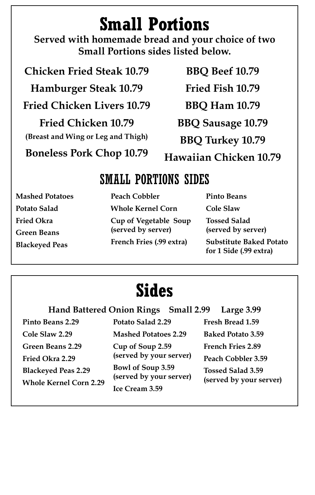### **Small Portions**

**Served with homemade bread and your choice of two Small Portions sides listed below.**

**Chicken Fried Steak 10.79**

**Hamburger Steak 10.79**

**Fried Chicken Livers 10.79**

**Fried Chicken 10.79 (Breast and Wing or Leg and Thigh)**

**Boneless Pork Chop 10.79**

**BBQ Beef 10.79**

**Fried Fish 10.79**

**BBQ Ham 10.79**

**BBQ Sausage 10.79**

**BBQ Turkey 10.79**

**Hawaiian Chicken 10.79**

#### SMALL PORTIONS SIDES

**Mashed Potatoes Potato Salad Fried Okra Green Beans Blackeyed Peas**

**Peach Cobbler Whole Kernel Corn Cup of Vegetable Soup (served by server) French Fries (.99 extra)**

**Pinto Beans Cole Slaw Tossed Salad (served by server) Substitute Baked Potato for 1 Side (.99 extra)**

## **Sides**

|                  | Hand Battered Onion Rings Small 2.99 Large 3.99 |                  |
|------------------|-------------------------------------------------|------------------|
| Pinto Beans 2.29 | Potato Salad 2.29                               | Fresh Bread 1.59 |

**Cole Slaw 2.29 Green Beans 2.29 Fried Okra 2.29 Blackeyed Peas 2.29 Whole Kernel Corn 2.29** **Mashed Potatoes 2.29 Cup of Soup 2.59 (served by your server) Bowl of Soup 3.59 (served by your server) Ice Cream 3.59**

**Fresh Bread 1.59 Baked Potato 3.59 French Fries 2.89 Peach Cobbler 3.59 Tossed Salad 3.59**

**(served by your server)**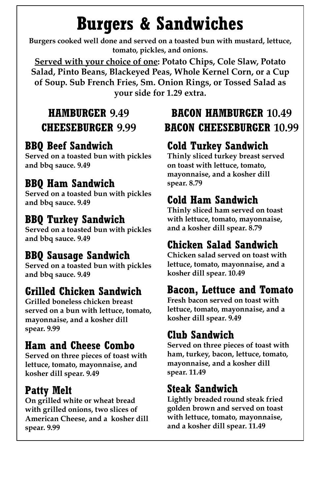# **Burgers & Sandwiches**

**Burgers cooked well done and served on a toasted bun with mustard, lettuce, tomato, pickles, and onions.**

**Served with your choice of one: Potato Chips, Cole Slaw, Potato Salad, Pinto Beans, Blackeyed Peas, Whole Kernel Corn, or a Cup of Soup. Sub French Fries, Sm. Onion Rings, or Tossed Salad as your side for 1.29 extra.**

#### **HAMBURGER 9.49 CHEESEBURGER 9.99**

#### **BBQ Beef Sandwich**

**Served on a toasted bun with pickles and bbq sauce. 9.49**

#### **BBQ Ham Sandwich**

**Served on a toasted bun with pickles and bbq sauce. 9.49**

#### **BBQ Turkey Sandwich**

**Served on a toasted bun with pickles and bbq sauce. 9.49**

#### **BBQ Sausage Sandwich**

**Served on a toasted bun with pickles and bbq sauce. 9.49**

#### **Grilled Chicken Sandwich**

**Grilled boneless chicken breast served on a bun with lettuce, tomato, mayonnaise, and a kosher dill spear. 9.99**

#### **Ham and Cheese Combo**

**Served on three pieces of toast with lettuce, tomato, mayonnaise, and kosher dill spear. 9.49**

#### **Patty Melt**

**On grilled white or wheat bread with grilled onions, two slices of American Cheese, and a kosher dill spear. 9.99**

#### **BACON HAMBURGER 10.49 BACON CHEESEBURGER 10.99**

#### **Cold Turkey Sandwich**

**Thinly sliced turkey breast served on toast with lettuce, tomato, mayonnaise, and a kosher dill spear. 8.79**

#### **Cold Ham Sandwich**

**Thinly sliced ham served on toast with lettuce, tomato, mayonnaise, and a kosher dill spear. 8.79**

#### **Chicken Salad Sandwich**

**Chicken salad served on toast with lettuce, tomato, mayonnaise, and a kosher dill spear. 10.49**

#### **Bacon, Lettuce and Tomato**

**Fresh bacon served on toast with lettuce, tomato, mayonnaise, and a kosher dill spear. 9.49**

#### **Club Sandwich**

**Served on three pieces of toast with ham, turkey, bacon, lettuce, tomato, mayonnaise, and a kosher dill spear. 11.49**

#### **Steak Sandwich**

**Lightly breaded round steak fried golden brown and served on toast with lettuce, tomato, mayonnaise, and a kosher dill spear. 11.49**